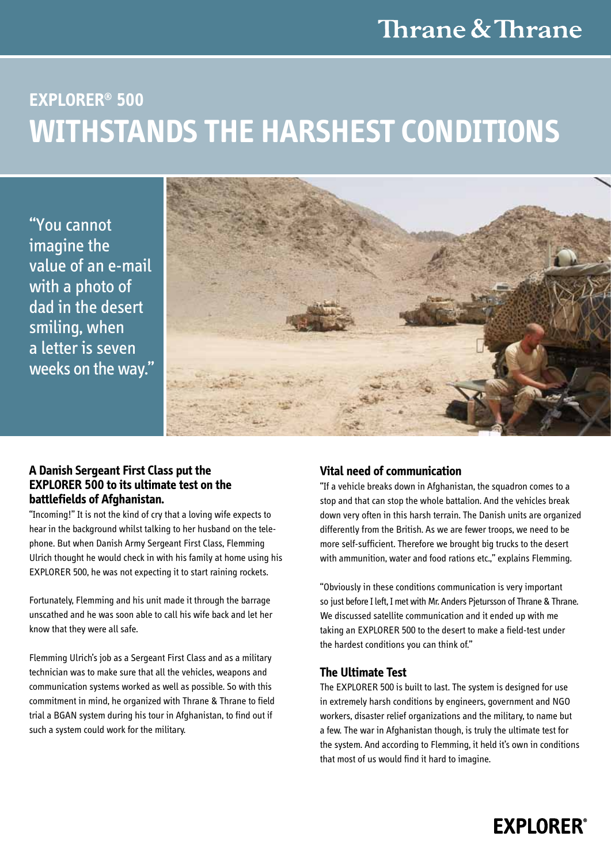# **Explorer® 500 Withstands the harshest conditions**

"You cannot imagine the value of an e-mail with a photo of dad in the desert smiling, when a letter is seven weeks on the way."



### **A Danish Sergeant First Class put the EXPLORER 500 to its ultimate test on the battlefields of Afghanistan.**

"Incoming!" It is not the kind of cry that a loving wife expects to hear in the background whilst talking to her husband on the telephone. But when Danish Army Sergeant First Class, Flemming Ulrich thought he would check in with his family at home using his EXPLORER 500, he was not expecting it to start raining rockets.

Fortunately, Flemming and his unit made it through the barrage unscathed and he was soon able to call his wife back and let her know that they were all safe.

Flemming Ulrich's job as a Sergeant First Class and as a military technician was to make sure that all the vehicles, weapons and communication systems worked as well as possible. So with this commitment in mind, he organized with Thrane & Thrane to field trial a BGAN system during his tour in Afghanistan, to find out if such a system could work for the military.

### **Vital need of communication**

"If a vehicle breaks down in Afghanistan, the squadron comes to a stop and that can stop the whole battalion. And the vehicles break down very often in this harsh terrain. The Danish units are organized differently from the British. As we are fewer troops, we need to be more self-sufficient. Therefore we brought big trucks to the desert with ammunition, water and food rations etc.," explains Flemming.

"Obviously in these conditions communication is very important so just before I left, I met with Mr. Anders Pjetursson of Thrane & Thrane. We discussed satellite communication and it ended up with me taking an EXPLORER 500 to the desert to make a field-test under the hardest conditions you can think of."

### **The Ultimate Test**

The EXPLORER 500 is built to last. The system is designed for use in extremely harsh conditions by engineers, government and NGO workers, disaster relief organizations and the military, to name but a few. The war in Afghanistan though, is truly the ultimate test for the system. And according to Flemming, it held it's own in conditions that most of us would find it hard to imagine.